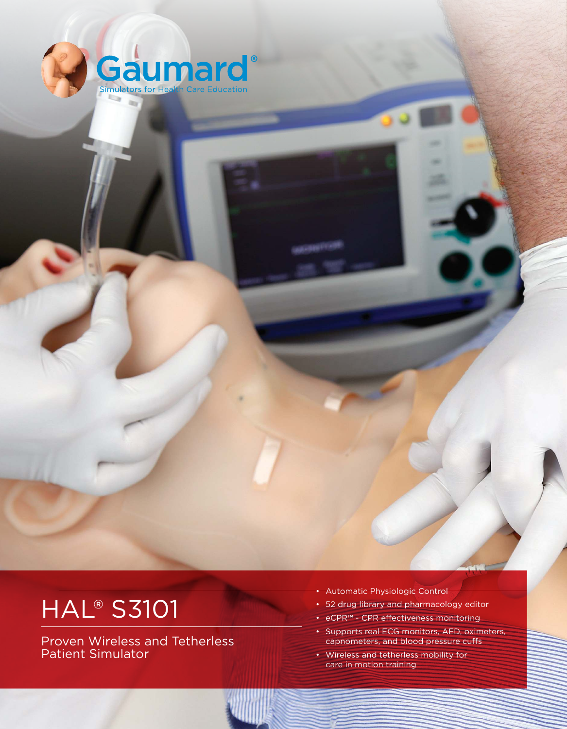

# **HAL<sup>®</sup> S3101**

Proven Wireless and Tetherless Patient Simulator

- Automatic Physiologic Control
- 52 drug library and pharmacology editor
- eCPR™ CPR effectiveness monitoring
- Supports real ECG monitors, AED, oximeters, capnometers, and blood pressure cufs
- Wireless and tetherless mobility for care in motion training

VISIT US ONLINE AT WWW.GAUMARD.COM ISSUE AT WARD AT US ONLY 1999 IN A 1999 IN A 1999 IN A 1999 IN A 1999 IN A 1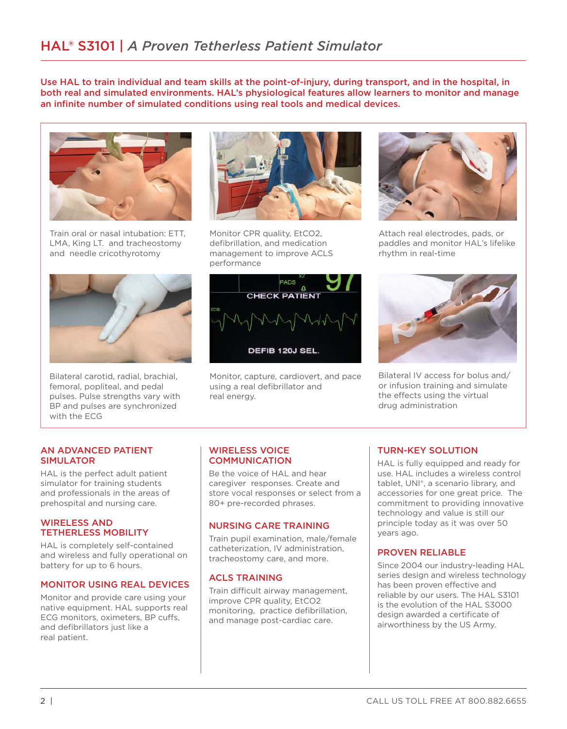Use HAL to train individual and team skills at the point-of-injury, during transport, and in the hospital, in both real and simulated environments. HAL's physiological features allow learners to monitor and manage an infinite number of simulated conditions using real tools and medical devices.



Train oral or nasal intubation: ETT, LMA, King LT. and tracheostomy and needle cricothyrotomy



Bilateral carotid, radial, brachial, femoral, popliteal, and pedal pulses. Pulse strengths vary with BP and pulses are synchronized with the ECG



Monitor CPR quality, EtCO2, defibrillation, and medication management to improve ACLS performance



Monitor, capture, cardiovert, and pace using a real defibrillator and real energy.



Attach real electrodes, pads, or paddles and monitor HAL's lifelike rhythm in real-time



Bilateral IV access for bolus and/ or infusion training and simulate the effects using the virtual drug administration

#### AN ADVANCED PATIENT SIMULATOR

HAL is the perfect adult patient simulator for training students and professionals in the areas of prehospital and nursing care.

#### WIRELESS AND TETHERLESS MOBILITY

HAL is completely self-contained and wireless and fully operational on battery for up to 6 hours.

#### MONITOR USING REAL DEVICES

Monitor and provide care using your native equipment. HAL supports real ECG monitors, oximeters, BP cufs, and defibrillators just like a real patient.

#### WIRELESS VOICE **COMMUNICATION**

Be the voice of HAL and hear caregiver responses. Create and store vocal responses or select from a 80+ pre-recorded phrases.

## NURSING CARE TRAINING

Train pupil examination, male/female catheterization, IV administration, tracheostomy care, and more.

## ACLS TRAINING

Train difficult airway management, improve CPR quality, EtCO2 monitoring, practice defibrillation, and manage post-cardiac care.

# TURN-KEY SOLUTION

HAL is fully equipped and ready for use. HAL includes a wireless control tablet, UNI®, a scenario library, and accessories for one great price. The commitment to providing innovative technology and value is still our principle today as it was over 50 years ago.

## PROVEN RELIABLE

Since 2004 our industry-leading HAL series design and wireless technology has been proven effective and reliable by our users. The HAL S3101 is the evolution of the HAL S3000 design awarded a certificate of airworthiness by the US Army.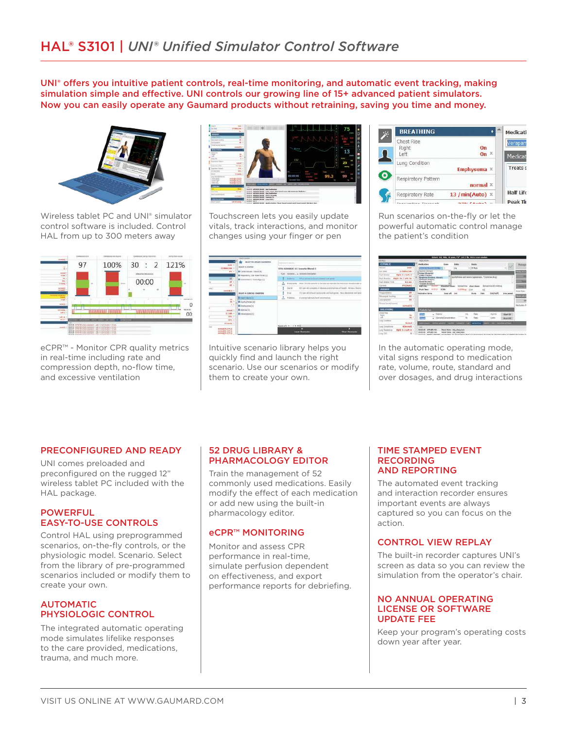UNI<sup>®</sup> offers you intuitive patient controls, real-time monitoring, and automatic event tracking, making simulation simple and efective. UNI controls our growing line of 15+ advanced patient simulators. Now you can easily operate any Gaumard products without retraining, saving you time and money.



Wireless tablet PC and UNI® simulator control software is included. Control HAL from up to 300 meters away



eCPR™ - Monitor CPR quality metrics in real-time including rate and compression depth, no-flow time, and excessive ventilation



Touchscreen lets you easily update vitals, track interactions, and monitor changes using your finger or pen



Intuitive scenario library helps you quickly find and launch the right scenario. Use our scenarios or modify them to create your own.

| Medicati           |                           | <b>BREATHING</b>                   |  |
|--------------------|---------------------------|------------------------------------|--|
| Verapan<br>Medicat | O <sub>n</sub><br>$\chi$  | Chest Rise<br>Right<br>Left        |  |
| <b>Treats s</b>    | Emphysema X               | Lung Condition                     |  |
|                    | normal x                  | Respiratory Pattern                |  |
| Half Life          | 13 / $min(Auto)$ $\times$ | Respiratory Rate                   |  |
| Peak Tir           | $270 \times 10^{-1}$      | the contract is a communication of |  |

Run scenarios on-the-fly or let the powerful automatic control manage the patient's condition



In the automatic operating mode, vital signs respond to medication rate, volume, route, standard and over dosages, and drug interactions

#### PRECONFIGURED AND READY

UNI comes preloaded and preconfigured on the rugged 12" wireless tablet PC included with the HAL package.

#### **POWERFUL** EASY-TO-USE CONTROLS

Control HAL using preprogrammed scenarios, on-the-fly controls, or the physiologic model. Scenario. Select from the library of pre-programmed scenarios included or modify them to create your own.

#### AUTOMATIC PHYSIOLOGIC CONTROL

The integrated automatic operating mode simulates lifelike responses to the care provided, medications, trauma, and much more.

#### 52 DRUG LIBRARY & PHARMACOLOGY EDITOR

Train the management of 52 commonly used medications. Easily modify the effect of each medication or add new using the built-in pharmacology editor.

#### eCPR™ MONITORING

Monitor and assess CPR performance in real-time, simulate perfusion dependent on efectiveness, and export performance reports for debriefing.

#### TIME STAMPED EVENT RECORDING AND REPORTING

The automated event tracking and interaction recorder ensures important events are always captured so you can focus on the action.

## CONTROL VIEW REPLAY

The built-in recorder captures UNI's screen as data so you can review the simulation from the operator's chair.

#### NO ANNUAL OPERATING LICENSE OR SOFTWARE UPDATE FEE

Keep your program's operating costs down year after year.